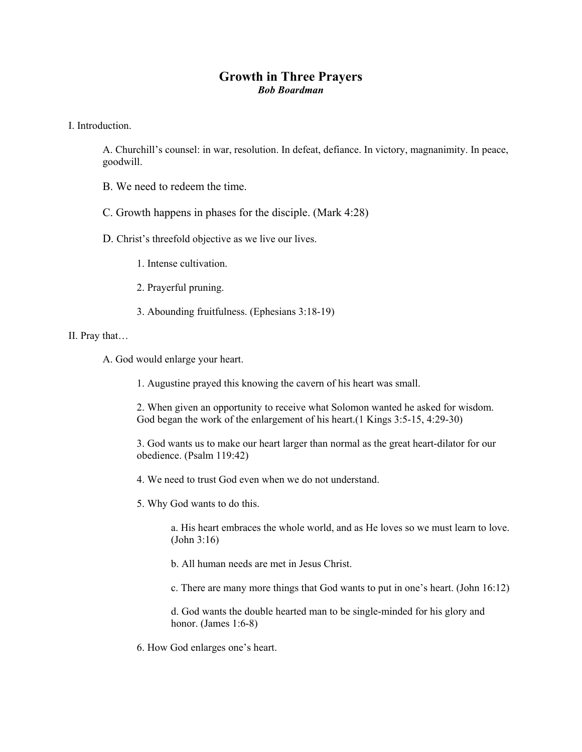## **Growth in Three Prayers**  *Bob Boardman*

I. Introduction.

A. Churchill's counsel: in war, resolution. In defeat, defiance. In victory, magnanimity. In peace, goodwill.

- B. We need to redeem the time.
- C. Growth happens in phases for the disciple. (Mark 4:28)
- D. Christ's threefold objective as we live our lives.
	- 1. Intense cultivation.
	- 2. Prayerful pruning.
	- 3. Abounding fruitfulness. (Ephesians 3:18-19)

## II. Pray that…

- A. God would enlarge your heart.
	- 1. Augustine prayed this knowing the cavern of his heart was small.

2. When given an opportunity to receive what Solomon wanted he asked for wisdom. God began the work of the enlargement of his heart.(1 Kings 3:5-15, 4:29-30)

3. God wants us to make our heart larger than normal as the great heart-dilator for our obedience. (Psalm 119:42)

- 4. We need to trust God even when we do not understand.
- 5. Why God wants to do this.

a. His heart embraces the whole world, and as He loves so we must learn to love. (John 3:16)

- b. All human needs are met in Jesus Christ.
- c. There are many more things that God wants to put in one's heart. (John 16:12)

d. God wants the double hearted man to be single-minded for his glory and honor. (James 1:6-8)

6. How God enlarges one's heart.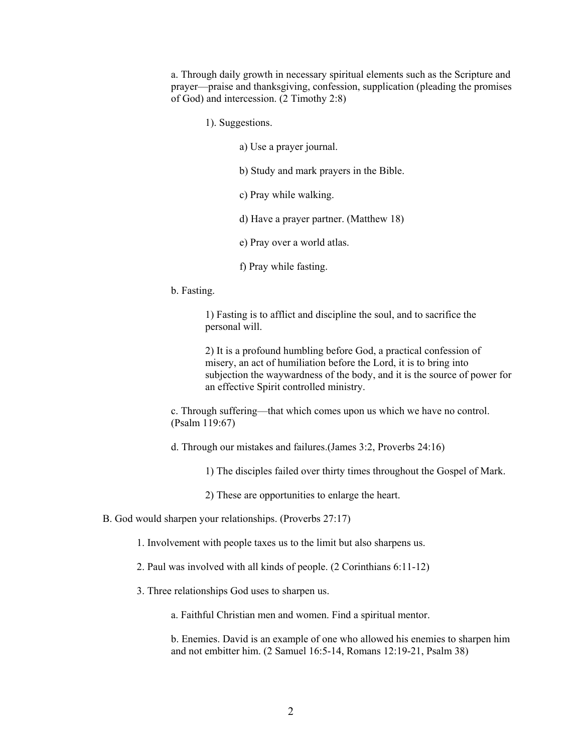a. Through daily growth in necessary spiritual elements such as the Scripture and prayer—praise and thanksgiving, confession, supplication (pleading the promises of God) and intercession. (2 Timothy 2:8)

1). Suggestions.

a) Use a prayer journal.

b) Study and mark prayers in the Bible.

c) Pray while walking.

d) Have a prayer partner. (Matthew 18)

e) Pray over a world atlas.

f) Pray while fasting.

b. Fasting.

1) Fasting is to afflict and discipline the soul, and to sacrifice the personal will.

2) It is a profound humbling before God, a practical confession of misery, an act of humiliation before the Lord, it is to bring into subjection the waywardness of the body, and it is the source of power for an effective Spirit controlled ministry.

c. Through suffering—that which comes upon us which we have no control. (Psalm 119:67)

d. Through our mistakes and failures.(James 3:2, Proverbs 24:16)

1) The disciples failed over thirty times throughout the Gospel of Mark.

2) These are opportunities to enlarge the heart.

B. God would sharpen your relationships. (Proverbs 27:17)

1. Involvement with people taxes us to the limit but also sharpens us.

2. Paul was involved with all kinds of people. (2 Corinthians 6:11-12)

3. Three relationships God uses to sharpen us.

a. Faithful Christian men and women. Find a spiritual mentor.

b. Enemies. David is an example of one who allowed his enemies to sharpen him and not embitter him. (2 Samuel 16:5-14, Romans 12:19-21, Psalm 38)